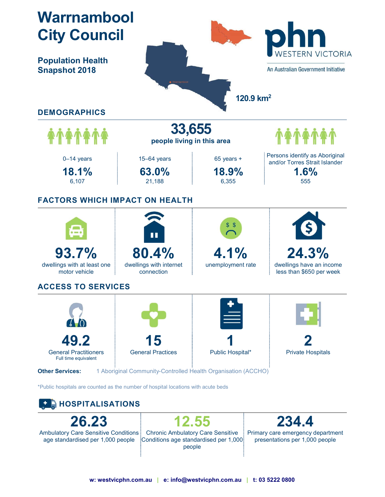



26.23 Ambulatory Care Sensitive Conditions age standardised per 1,000 people

12.55 Chronic Ambulatory Care Sensitive Conditions age standardised per 1,000 people

234.4 Primary care emergency department presentations per 1,000 people